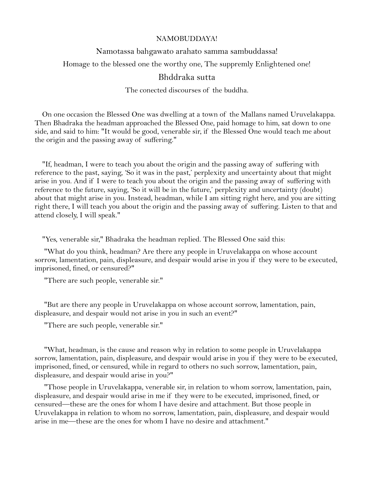## NAMOBUDDAYA!

## Namotassa bahgawato arahato samma sambuddassa!

Homage to the blessed one the worthy one, The suppremly Enlightened one!

## Bhddraka sutta

The conected discourses of the buddha.

 On one occasion the Blessed One was dwelling at a town of the Mallans named Uruvelakappa. Then Bhadraka the headman approached the Blessed One, paid homage to him, sat down to one side, and said to him: "It would be good, venerable sir, if the Blessed One would teach me about the origin and the passing away of suffering."

 "If, headman, I were to teach you about the origin and the passing away of suffering with reference to the past, saying, 'So it was in the past,' perplexity and uncertainty about that might arise in you. And if I were to teach you about the origin and the passing away of suffering with reference to the future, saying, 'So it will be in the future,' perplexity and uncertainty (doubt) about that might arise in you. Instead, headman, while I am sitting right here, and you are sitting right there, I will teach you about the origin and the passing away of suffering. Listen to that and attend closely, I will speak."

"Yes, venerable sir," Bhadraka the headman replied. The Blessed One said this:

 "What do you think, headman? Are there any people in Uruvelakappa on whose account sorrow, lamentation, pain, displeasure, and despair would arise in you if they were to be executed, imprisoned, fined, or censured?"

"There are such people, venerable sir."

 "But are there any people in Uruvelakappa on whose account sorrow, lamentation, pain, displeasure, and despair would not arise in you in such an event?"

"There are such people, venerable sir."

 "What, headman, is the cause and reason why in relation to some people in Uruvelakappa sorrow, lamentation, pain, displeasure, and despair would arise in you if they were to be executed, imprisoned, fined, or censured, while in regard to others no such sorrow, lamentation, pain, displeasure, and despair would arise in you?"

 "Those people in Uruvelakappa, venerable sir, in relation to whom sorrow, lamentation, pain, displeasure, and despair would arise in me if they were to be executed, imprisoned, fined, or censured—these are the ones for whom I have desire and attachment. But those people in Uruvelakappa in relation to whom no sorrow, lamentation, pain, displeasure, and despair would arise in me—these are the ones for whom I have no desire and attachment."